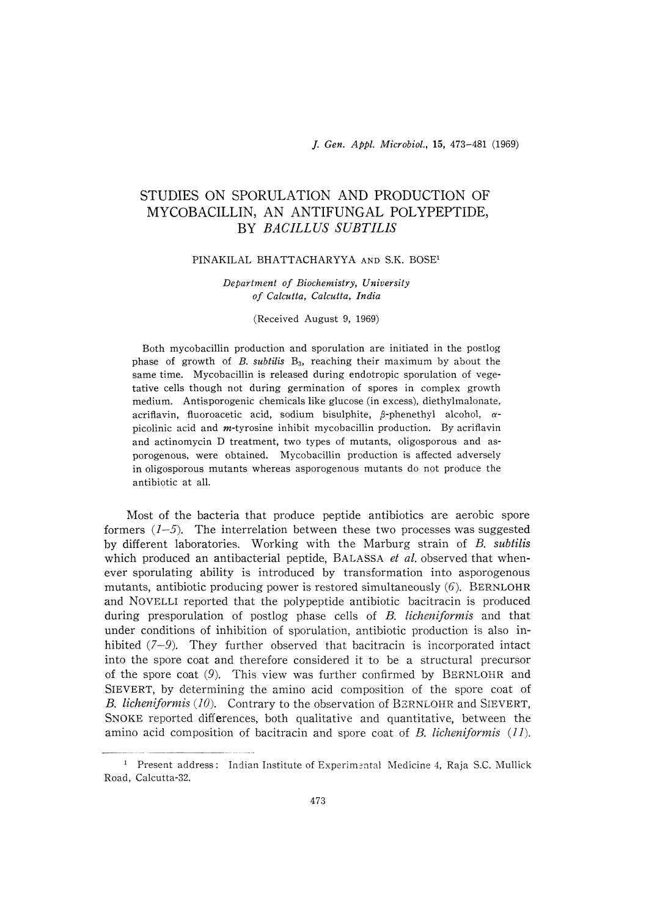J. Gen. Appl. Mierobiol., 15, 473-481 (1969)

# STUDIES ON SPORULATION AND PRODUCTION OF MYCOBACILLIN, AN ANTIFUNGAL POLYPEPTIDE, BY BACILLUS SUBTILJS

#### PINAKILAL BHATTACHARYYA AND S.K. BOSE1

## Department of Biochemistry, University of Calcutta, Calcutta, India

#### (Received August 9, 1969)

Both mycobacillin production and sporulation are initiated in the postlog phase of growth of  $B$ . subtilis  $B_3$ , reaching their maximum by about the same time. Mycobacillin is released during endotropic sporulation of vegetative cells though not during germination of spores in complex growth medium. Antisporogenic chemicals like glucose (in excess), diethylmalonate, acriflavin, fluoroacetic acid, sodium bisulphite,  $\beta$ -phenethyl alcohol,  $\alpha$ picolinic acid and  $m$ -tyrosine inhibit mycobacillin production. By acriflavin and actinomycin D treatment, two types of mutants, oligosporous and asporogenous, were obtained. Mycobacillin production is affected adversely in oligosporous mutants whereas asporogenous mutants do not produce the antibiotic at all.

 Most of the bacteria that produce peptide antibiotics are aerobic spore formers  $(1-5)$ . The interrelation between these two processes was suggested by different laboratories. Working with the Marburg strain of B. subtilis which produced an antibacterial peptide, BALASSA et al, observed that whenever sporulating ability is introduced by transformation into asporogenous mutants, antibiotic producing power is restored simultaneously  $(6)$ . BERNLOHR and NOVELLI reported that the polypeptide antibiotic bacitracin is produced during presporulation of postlog phase cells of  $B$ . *licheniformis* and that under conditions of inhibition of sporulation, antibiotic production is also inhibited  $(7-9)$ . They further observed that bacitracin is incorporated intact into the spore coat and therefore considered it to be a structural precursor of the spore coat (9). This view was further confirmed by BERNLOHR and SIEVERT, by determining the amino acid composition of the spore coat of B, licheniformis (10). Contrary to the observation of BERNLOHR and SIEVERT, SMOKE reported differences, both qualitative and quantitative, between the amino acid composition of bacitracin and spore coat of B. licheniformis  $(11)$ .

<sup>&</sup>lt;sup>1</sup> Present address: Indian Institute of Experimental Medicine 4, Raja S.C. Mullick Road, Calcutta-32.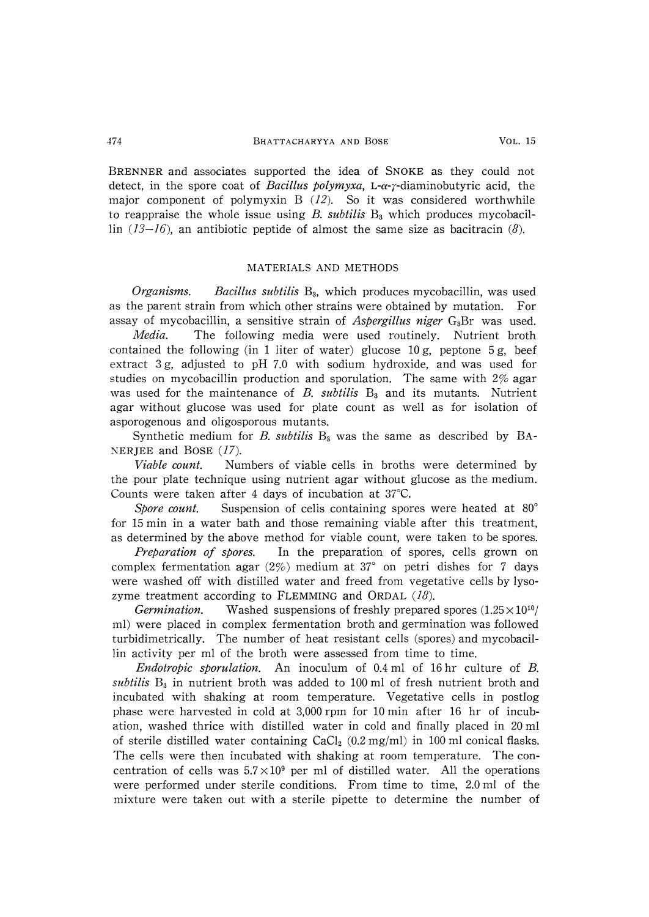BRENNER and associates supported the idea of SNOKE as they could not detect, in the spore coat of *Bacillus polymyxa*, L- $\alpha$ - $\gamma$ -diaminobutyric acid, the major component of polymyxin B  $(12)$ . So it was considered worthwhile to reappraise the whole issue using  $B$ , subtilis  $B_3$  which produces mycobacillin  $(13-16)$ , an antibiotic peptide of almost the same size as bacitracin (8).

# MATERIALS AND METHODS

Organisms. Bacillus subtilis  $B_3$ , which produces mycobacillin, was used as the parent strain from which other strains were obtained by mutation. For assay of mycobacillin, a sensitive strain of *Aspergillus niger*  $G_3Br$  was used.

Media. The following media were used routinely. Nutrient broth contained the following (in 1 liter of water) glucose  $10 \text{ g}$ , peptone  $5 \text{ g}$ , beef extract 3 g, adjusted to pH 7.0 with sodium hydroxide, and was used for studies on mycobacillin production and sporulation. The same with  $2\%$  agar was used for the maintenance of  $B$ , subtilis  $B_3$  and its mutants. Nutrient agar without glucose was used for plate count as well as for isolation of asporogenous and oligosporous mutants.

Synthetic medium for B. subtilis  $B_3$  was the same as described by BA-NERJEE and BOSE  $(17)$ .

Viable count. Numbers of viable cells in broths were determined by the pour plate technique using nutrient agar without glucose as the medium. Counts were taken after 4 days of incubation at 37°C.

Spore count. Suspension of cells containing spores were heated at 80° for 15 min in a water bath and those remaining viable after this treatment, as determined by the above method for viable count, were taken to be spores.

Preparation of spores. In the preparation of spores, cells grown on complex fermentation agar  $(2\%)$  medium at 37° on petri dishes for 7 days were washed off with distilled water and freed from vegetative cells by lysozyme treatment according to FLEMMING and ORDAL  $(18)$ .

Germination. Washed suspensions of freshly prepared spores  $(1.25 \times 10^{10})$ ml) were placed in complex fermentation broth and germination was followed turbidimetrically. The number of heat resistant cells (spores) and mycobacillin activity per ml of the broth were assessed from time to time.

Endotropic sporulation. An inoculum of 0.4 ml of 16 hr culture of B. subtilis  $B_3$  in nutrient broth was added to 100 ml of fresh nutrient broth and incubated with shaking at room temperature. Vegetative cells in postlog phase were harvested in cold at 3,000 rpm for 10 min after 16 hr of incubation, washed thrice with distilled water in cold and finally placed in 20 ml of sterile distilled water containing  $CaCl<sub>2</sub>$  (0.2 mg/ml) in 100 ml conical flasks. The cells were then incubated with shaking at room temperature. The concentration of cells was  $5.7 \times 10^9$  per ml of distilled water. All the operations were performed under sterile conditions. From time to time, 2.0 ml of the mixture were taken out with a sterile pipette to determine the number of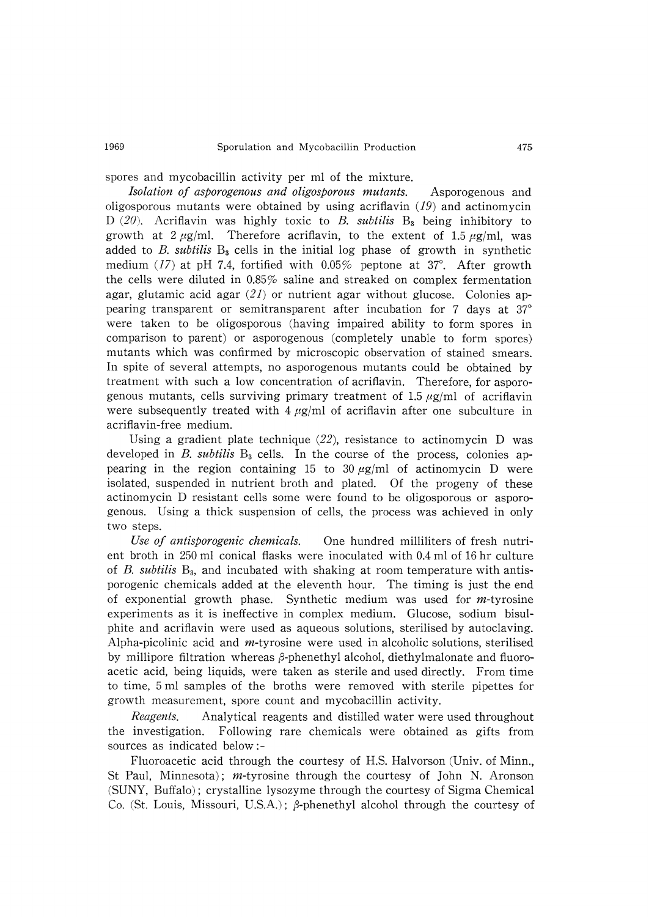spores and mycobacillin activity per ml of the mixture.

Isolation of asporogenous and oligosporous mutants. Asporogenous and oligosporous mutants were obtained by using acriflavin  $(19)$  and actinomycin D (20). Acriflavin was highly toxic to B. subtilis  $B_3$  being inhibitory to growth at  $2 \mu g/ml$ . Therefore acriflavin, to the extent of 1.5  $\mu g/ml$ , was added to B. subtilis  $B_3$  cells in the initial log phase of growth in synthetic medium (17) at pH 7.4, fortified with  $0.05\%$  peptone at 37°. After growth the cells were diluted in 0.85% saline and streaked on complex fermentation agar, glutamic acid agar  $(21)$  or nutrient agar without glucose. Colonies appearing transparent or semitransparent after incubation for 7 days at 37° were taken to be oligosporous (having impaired ability to form spores in comparison to parent) or asporogenous (completely unable to form spores) mutants which was confirmed by microscopic observation of stained smears. In spite of several attempts, no asporogenous mutants could be obtained by treatment with such a low concentration of acriflavin. Therefore, for asporogenous mutants, cells surviving primary treatment of 1.5  $\mu$ g/ml of acriflavin were subsequently treated with  $4 \mu g/ml$  of acriflavin after one subculture in acriflavin-free medium.

Using a gradient plate technique  $(22)$ , resistance to actinomycin D was developed in B. subtilis  $B_3$  cells. In the course of the process, colonies appearing in the region containing 15 to 30  $\mu$ g/ml of actinomycin D were isolated, suspended in nutrient broth and plated. Of the progeny of these actinomycin D resistant cells some were found to be oligosporous or asporogenous. Using a thick suspension of cells, the process was achieved in only two steps.

Use of antisporogenic chemicals. One hundred milliliters of fresh nutrient broth in 250 ml conical flasks were inoculated with 0.4 ml of 16 hr culture of B. subtilis  $B_3$ , and incubated with shaking at room temperature with antisporogenic chemicals added at the eleventh hour. The timing is just the end of exponential growth phase. Synthetic medium was used for m-tyrosine experiments as it is ineffective in complex medium. Glucose, sodium bisulphite and acriflavin were used as aqueous solutions, sterilised by autoclaving. Alpha-picolinic acid and  $m$ -tyrosine were used in alcoholic solutions, sterilised by millipore filtration whereas  $\beta$ -phenethyl alcohol, diethylmalonate and fluoroacetic acid, being liquids, were taken as sterile and used directly. From time to time, 5 ml samples of the broths were removed with sterile pipettes for growth measurement, spore count and mycobacillin activity.

*Reagents.* Analytical reagents and distilled water were used throughout the investigation. Following rare chemicals were obtained as gifts from sources as indicated below :-

Fluoroacetic acid through the courtesy of H.S. Halvorson (Univ. of Minn., St Paul, Minnesota);  $m$ -tyrosine through the courtesy of John N. Aronson (SUNY, Buffalo) ; crystalline lysozyme through the courtesy of Sigma Chemical Co. (St. Louis, Missouri, U.S.A.);  $\beta$ -phenethyl alcohol through the courtesy of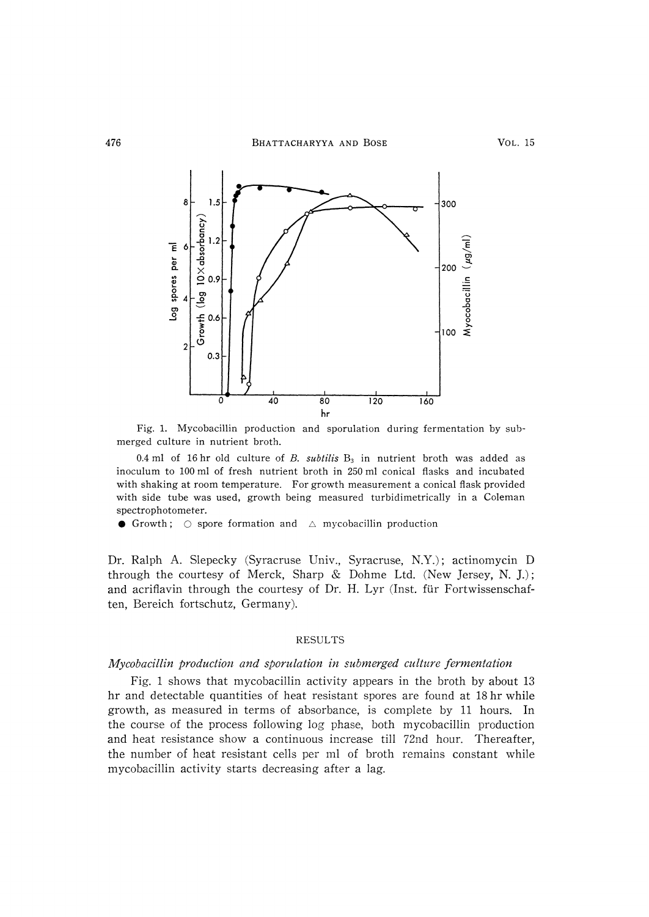

 Fig. 1. Mycobacillin production and sporulation during fermentation by submerged culture in nutrient broth.

0.4 ml of 16 hr old culture of B. subtilis  $B_3$  in nutrient broth was added as inoculum to 100 ml of fresh nutrient broth in 250 ml conical flasks and incubated with shaking at room temperature. For growth measurement a conical flask provided with side tube was used, growth being measured turbidimetrically in a Coleman spectrophotometer.

• Growth;  $\bigcirc$  spore formation and  $\bigcirc$  mycobacillin production

Dr. Ralph A. Slepecky (Syracruse Univ., Syracruse, N.Y.) ; actinomycin D through the courtesy of Merck, Sharp & Dohme Ltd. (New Jersey, N. J.); and acriflavin through the courtesy of Dr. H. Lyr (Inst. fur Fortwissenschaften, Bereich fortschutz, Germany).

## RESULTS

#### Mycobacillin production and sporulation in submerged culture fermentation

Fig. 1 shows that mycobacillin activity appears in the broth by about 13 hr and detectable quantities of heat resistant spores are found at 18 hr while growth, as measured in terms of absorbance, is complete by 11 hours. In the course of the process following log phase, both mycobacillin production and heat resistance show a continuous increase till 72nd hour. Thereafter, the number of heat resistant cells per ml of broth remains constant while mycobacillin activity starts decreasing after a lag.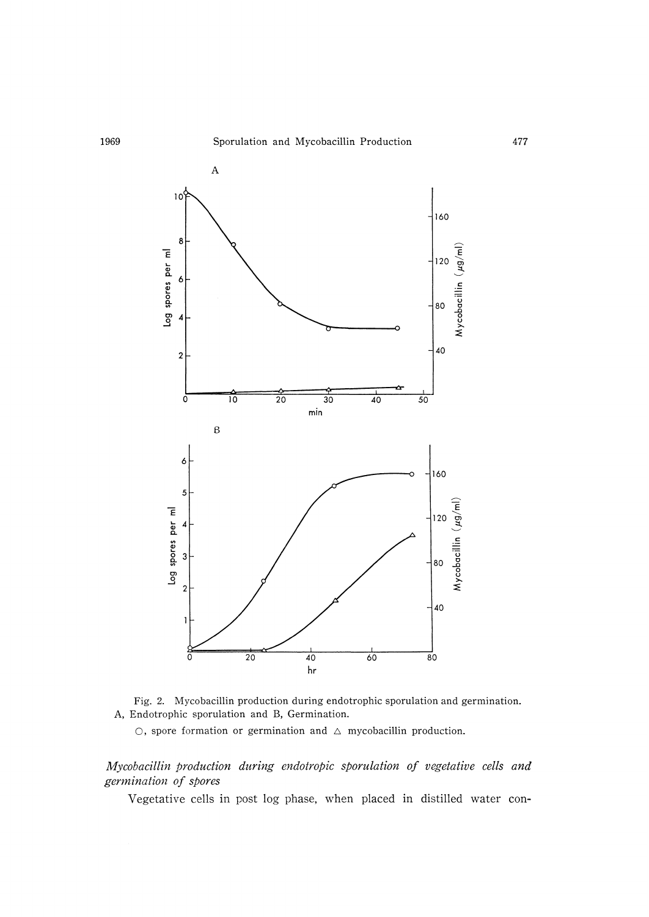



 $\circ$ , spore formation or germination and  $\triangle$  mycobacillin production.

Mycobacillin production during endotropic sporulation of vegetative cells and germination of spores

Vegetative cells in post log phase, when placed in distilled water con-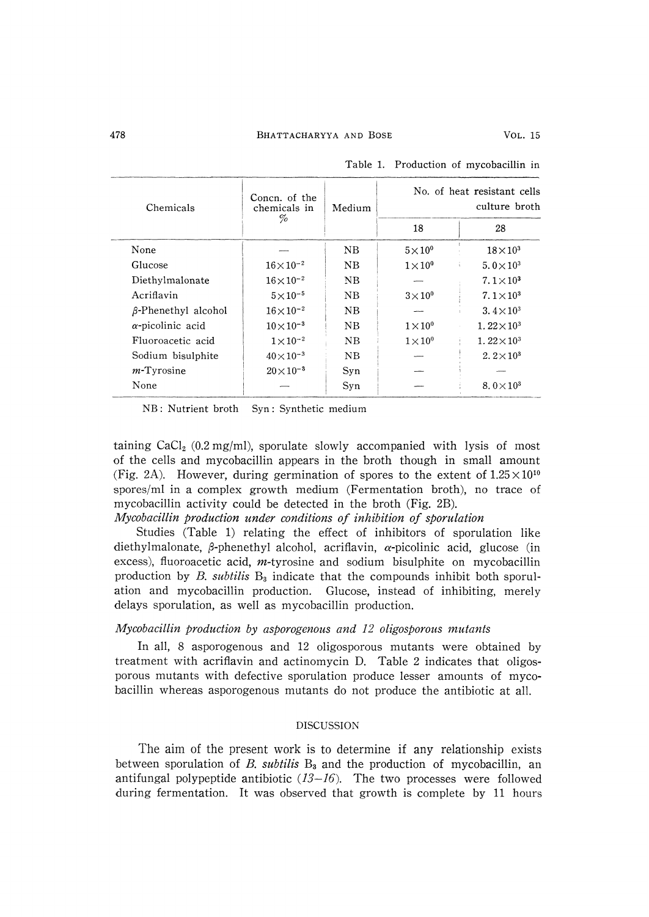| Chemicals                  | Concn. of the<br>chemicals in | Medium      | No. of heat resistant cells<br>culture broth |                              |  |
|----------------------------|-------------------------------|-------------|----------------------------------------------|------------------------------|--|
|                            | %                             |             | 18                                           | 28                           |  |
| None                       |                               | $_{\rm NB}$ | $5\times10^{0}$                              | $18\times10^3$               |  |
| Glucose                    | $16\times 10^{-2}$            | $_{\rm NB}$ | $1\times10^{0}$                              | 5.0 $\times$ 10 <sup>3</sup> |  |
| Diethylmalonate            | $16 \times 10^{-2}$           | $_{\rm NB}$ |                                              | $7.1 \times 10^3$            |  |
| Acriflavin                 | $5 \times 10^{-5}$            | NB.         | $3\times10^{0}$                              | 7. $1 \times 10^3$           |  |
| $\beta$ -Phenethyl alcohol | $16 \times 10^{-2}$           | NB.         |                                              | 3.4 $\times$ 10 <sup>3</sup> |  |
| $\alpha$ -picolinic acid   | $10\times10^{-3}$             | NB          | $1 \times 10^{0}$                            | $1.22 \times 10^3$           |  |
| Fluoroacetic acid          | $1 \times 10^{-2}$            | NB          | $1\times10^{0}$                              | $1.22\times10^{3}$           |  |
| Sodium bisulphite          | $40 \times 10^{-3}$           | $_{\rm NB}$ |                                              | 2. $2 \times 10^3$           |  |
| $m$ -Tyrosine              | $20\times10^{-3}$             | Syn         |                                              |                              |  |
| None                       |                               | Syn         |                                              | $8.0\times10^3$              |  |

Table 1. Production of mycobacillin in

NB: Nutrient broth Syn: Synthetic medium

taining  $CaCl<sub>2</sub>$  (0.2 mg/ml), sporulate slowly accompanied with lysis of most of the cells and mycobacillin appears in the broth though in small amount (Fig. 2A). However, during germination of spores to the extent of  $1.25 \times 10^{10}$ spores/ml in a complex growth medium (Fermentation broth), no trace of mycobacillin activity could be detected in the broth (Fig. 2B).

Mycobacillin production under conditions of inhibition of sporulation

Studies (Table 1) relating the effect of inhibitors of sporulation like diethylmalonate,  $\beta$ -phenethyl alcohol, acriflavin,  $\alpha$ -picolinic acid, glucose (in excess), fluoroacetic acid,  $m$ -tyrosine and sodium bisulphite on mycobacillin production by B, subtilis  $B_3$  indicate that the compounds inhibit both sporulation and mycobacillin production. Glucose, instead of inhibiting, merely delays sporulation, as well as mycobacillin production.

#### Mycobacillin production by asporogenous and 12 oligosporous mutants

In all, 8 asporogenous and 12 oligosporous mutants were obtained by treatment with acriflavin and actinomycin D. Table 2 indicates that oligosporous mutants with defective sporulation produce lesser amounts of mycobacillin whereas asporogenous mutants do not produce the antibiotic at all.

### DISCUSSION

The aim of the present work is to determine if any relationship exists between sporulation of B, subtilis  $B_3$  and the production of mycobacillin, an antifungal polypeptide antibiotic  $(13-16)$ . The two processes were followed during fermentation. It was observed that growth is complete by 11 hours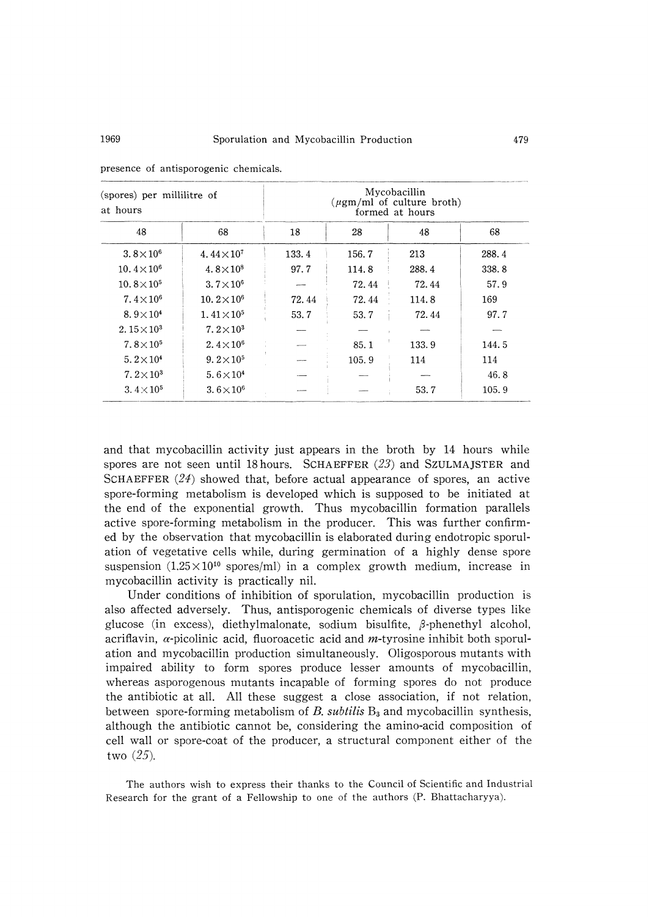| (spores) per millilitre of<br>at hours |                               | Mycobacillin<br>$(\mu$ gm/ml of culture broth)<br>formed at hours |       |       |       |
|----------------------------------------|-------------------------------|-------------------------------------------------------------------|-------|-------|-------|
| 48                                     | 68                            | 18                                                                | 28    | 48    | 68    |
| 3.8 $\times$ 10 <sup>6</sup>           | 4.44 $\times$ 10 <sup>7</sup> | 133.4                                                             | 156.7 | 213   | 288.4 |
| $10.4 \times 10^6$                     | 4.8 $\times$ 10 <sup>8</sup>  | 97.7                                                              | 114.8 | 288.4 | 338.8 |
| $10.8 \times 10^{5}$                   | $3.7 \times 10^6$             |                                                                   | 72.44 | 72.44 | 57.9  |
| 7.4 $\times$ 10 <sup>6</sup>           | $10.2 \times 10^6$            | 72.44                                                             | 72.44 | 114.8 | 169   |
| 8.9 $\times$ 10 <sup>4</sup>           | $1.41 \times 10^{5}$          | 53.7                                                              | 53.7  | 72.44 | 97.7  |
| 2.15 $\times$ 10 <sup>3</sup>          | $7.2\times10^{3}$             |                                                                   |       |       |       |
| $7.8 \times 10^{5}$                    | 2.4 $\times$ 10 <sup>6</sup>  |                                                                   | 85.1  | 133.9 | 144.5 |
| 5.2 $\times$ 10 <sup>4</sup>           | $9.2 \times 10^{5}$           |                                                                   | 105.9 | 114   | 114   |
| 7. $2 \times 10^3$                     | $5.6 \times 10^{4}$           |                                                                   |       |       | 46.8  |
| 3. $4 \times 10^5$                     | $3.6\times10^{6}$             |                                                                   |       | 53.7  | 105.9 |

presence of antisporogenic chemicals.

and that mycobacillin activity just appears in the broth by 14 hours while spores are not seen until 18 hours. SCHAEFFER  $(23)$  and SZULMAJSTER and SCHAEFFER  $(24)$  showed that, before actual appearance of spores, an active spore-forming metabolism is developed which is supposed to be initiated at the end of the exponential growth. Thus mycobacillin formation parallels active spore-forming metabolism in the producer. This was further confirmed by the observation that mycobacillin is elaborated during endotropic sporulation of vegetative cells while, during germination of a highly dense spore suspension  $(1.25\times10^{10}$  spores/ml) in a complex growth medium, increase in mycobacillin activity is practically nil.

Under conditions of inhibition of Sporulation, mycobacillin production is also affected adversely. Thus, antisporogenic chemicals of diverse types like glucose (in excess), diethylmalonate, sodium bisulfite,  $\beta$ -phenethyl alcohol, acriflavin,  $\alpha$ -picolinic acid, fluoroacetic acid and m-tyrosine inhibit both sporulation and mycobacillin production simultaneously. Oligosporous mutants with impaired ability to form spores produce lesser amounts of mycobacillin, whereas asporogenous mutants incapable of forming spores do not produce the antibiotic at all. All these suggest a close association, if not relation, between spore-forming metabolism of B, subtilis  $B_3$  and mycobacillin synthesis, although the antibiotic cannot be, considering the amino-acid composition of cell wall or spore-coat of the producer, a structural component either of the two (25).

The authors wish to express their thanks to the Council of Scientific and Industrial Research for the grant of a Fellowship to one of the authors (P. Bhattacharyy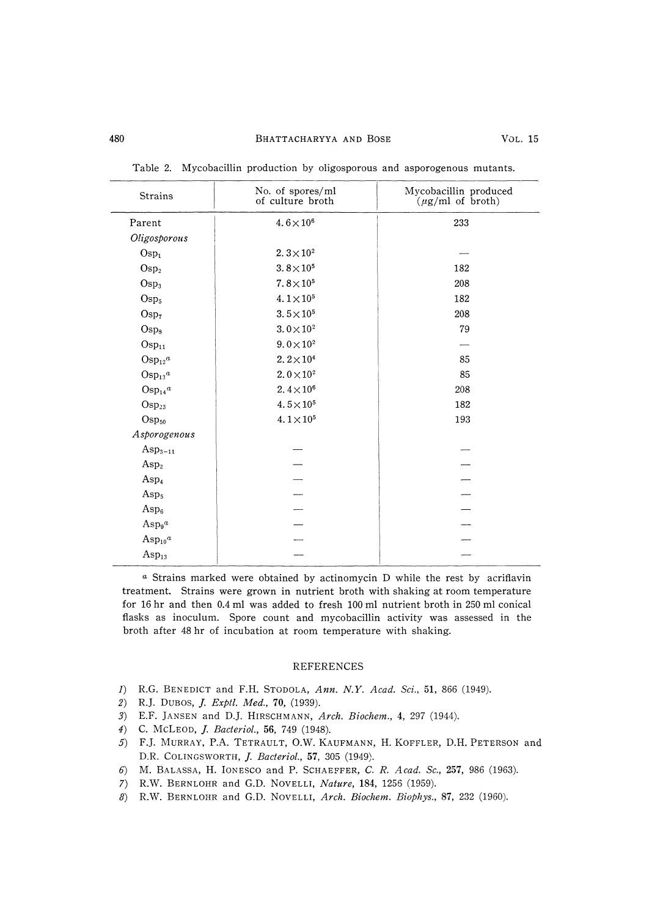# 480 BHATTACHARYYA AND BOSE VoL. 15

| Strains             | No. of spores/ml<br>of culture broth | Mycobacillin produced<br>$(\mu g/ml \text{ of } broth)$ |  |  |
|---------------------|--------------------------------------|---------------------------------------------------------|--|--|
| Parent              | $4.6\times10^{6}$                    | 233                                                     |  |  |
| Oligosporous        |                                      |                                                         |  |  |
| Osp <sub>1</sub>    | $2.3\times10^{2}$                    |                                                         |  |  |
| Osp <sub>2</sub>    | $3.8\times10^{5}$                    | 182                                                     |  |  |
| $\rm{Osp}_3$        | $7.8 \times 10^{5}$                  | 208                                                     |  |  |
| Osp <sub>5</sub>    | 4.1 $\times$ 10 <sup>5</sup>         | 182                                                     |  |  |
| Osp <sub>7</sub>    | $3.5 \times 10^{5}$                  | 208                                                     |  |  |
| $\rm{Osp}_8$        | $3.0\times10^{2}$                    | 79                                                      |  |  |
| $Osp_{11}$          | $9.0 \times 10^{2}$                  |                                                         |  |  |
| $Osp_{12}a$         | $2.2\times10^{4}$                    | 85                                                      |  |  |
| $Osp_{13}a$         | $2.0 \times 10^{2}$                  | 85                                                      |  |  |
| $Osp_{14}a$         | 2.4 $\times$ 10 <sup>6</sup>         | 208                                                     |  |  |
| $Osp_{23}$          | $4.5 \times 10^{5}$                  | 182                                                     |  |  |
| $\mathrm{Osp}_{50}$ | $4.1 \times 10^{5}$                  | 193                                                     |  |  |
| Asporogenous        |                                      |                                                         |  |  |
| $\rm Asp_{3-11}$    |                                      |                                                         |  |  |
| Asp <sub>2</sub>    |                                      |                                                         |  |  |
| Asp <sub>4</sub>    |                                      |                                                         |  |  |
| Asp <sub>5</sub>    |                                      |                                                         |  |  |
| $\rm Asp_6$         |                                      |                                                         |  |  |
| $\mathrm{Asp}_{9}a$ |                                      |                                                         |  |  |
| $Asp_{10}^a$        |                                      |                                                         |  |  |
| $Asp_{13}$          |                                      |                                                         |  |  |

Table 2. Mycobacillin production by oligosporous and asporogenous mutants.

a Strains marked were obtained by actinomycin D while the rest by acriflavin treatment. Strains were grown in nutrient broth with shaking at room temperature for 16 hr and then 0.4 ml was added to fresh 100 ml nutrient broth in 250 ml conical flasks as inoculum. Spore count and mycobacillin activity was assessed in the broth after 48 hr of incubation at room temperature with shaking.

#### REFERENCES

- 1) R.G. BENEDICT and F.H. STODOLA, Ann. N.Y. Acad. Sci., 51, 866 (1949).
- 2) R.J. DUBOS, *J. Exptl. Med.*, 70, (1939).
- 3) E.F. JANSEN and D.J. HIRSCHMANN, Arch. Biochem., 4, 297 (1944).
- 4) C. MCLEOD, J. BacterioL, 56, 749 (1948).
- 5) F.J. MURRAY, P.A. TETRAULT, OW. KAUFMANN, H. KOFFLER, D.H. PETERSON and D.R. COLINGSWORTH, J. Bacteriol., 57, 305 (1949).
- 6) M. BALASSA, H. IONESCO and P. SCHAERFER, C. R. Acad. Sc., 257, 986 (1963).
- 7) R.W. BERNLOHR and G.D. NOVELLI, Nature, 184, 1256 (1959).
- 8) R.W. BERNLOHR and G.D. NovELLI, Arch. Biochem. Biophys., 87, 232 (1960).